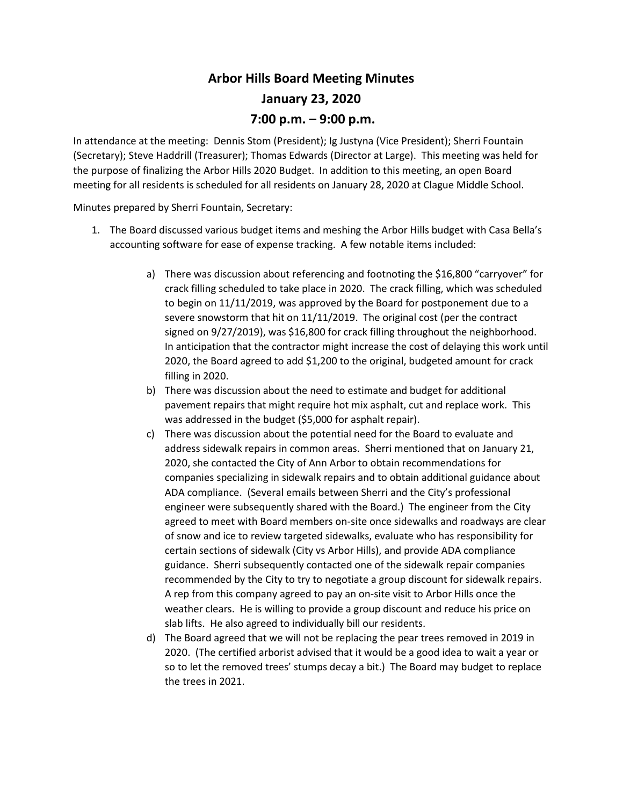## **Arbor Hills Board Meeting Minutes January 23, 2020 7:00 p.m. – 9:00 p.m.**

In attendance at the meeting: Dennis Stom (President); Ig Justyna (Vice President); Sherri Fountain (Secretary); Steve Haddrill (Treasurer); Thomas Edwards (Director at Large). This meeting was held for the purpose of finalizing the Arbor Hills 2020 Budget. In addition to this meeting, an open Board meeting for all residents is scheduled for all residents on January 28, 2020 at Clague Middle School.

Minutes prepared by Sherri Fountain, Secretary:

- 1. The Board discussed various budget items and meshing the Arbor Hills budget with Casa Bella's accounting software for ease of expense tracking. A few notable items included:
	- a) There was discussion about referencing and footnoting the \$16,800 "carryover" for crack filling scheduled to take place in 2020. The crack filling, which was scheduled to begin on 11/11/2019, was approved by the Board for postponement due to a severe snowstorm that hit on 11/11/2019. The original cost (per the contract signed on 9/27/2019), was \$16,800 for crack filling throughout the neighborhood. In anticipation that the contractor might increase the cost of delaying this work until 2020, the Board agreed to add \$1,200 to the original, budgeted amount for crack filling in 2020.
	- b) There was discussion about the need to estimate and budget for additional pavement repairs that might require hot mix asphalt, cut and replace work. This was addressed in the budget (\$5,000 for asphalt repair).
	- c) There was discussion about the potential need for the Board to evaluate and address sidewalk repairs in common areas. Sherri mentioned that on January 21, 2020, she contacted the City of Ann Arbor to obtain recommendations for companies specializing in sidewalk repairs and to obtain additional guidance about ADA compliance. (Several emails between Sherri and the City's professional engineer were subsequently shared with the Board.) The engineer from the City agreed to meet with Board members on-site once sidewalks and roadways are clear of snow and ice to review targeted sidewalks, evaluate who has responsibility for certain sections of sidewalk (City vs Arbor Hills), and provide ADA compliance guidance. Sherri subsequently contacted one of the sidewalk repair companies recommended by the City to try to negotiate a group discount for sidewalk repairs. A rep from this company agreed to pay an on-site visit to Arbor Hills once the weather clears. He is willing to provide a group discount and reduce his price on slab lifts. He also agreed to individually bill our residents.
	- d) The Board agreed that we will not be replacing the pear trees removed in 2019 in 2020. (The certified arborist advised that it would be a good idea to wait a year or so to let the removed trees' stumps decay a bit.) The Board may budget to replace the trees in 2021.